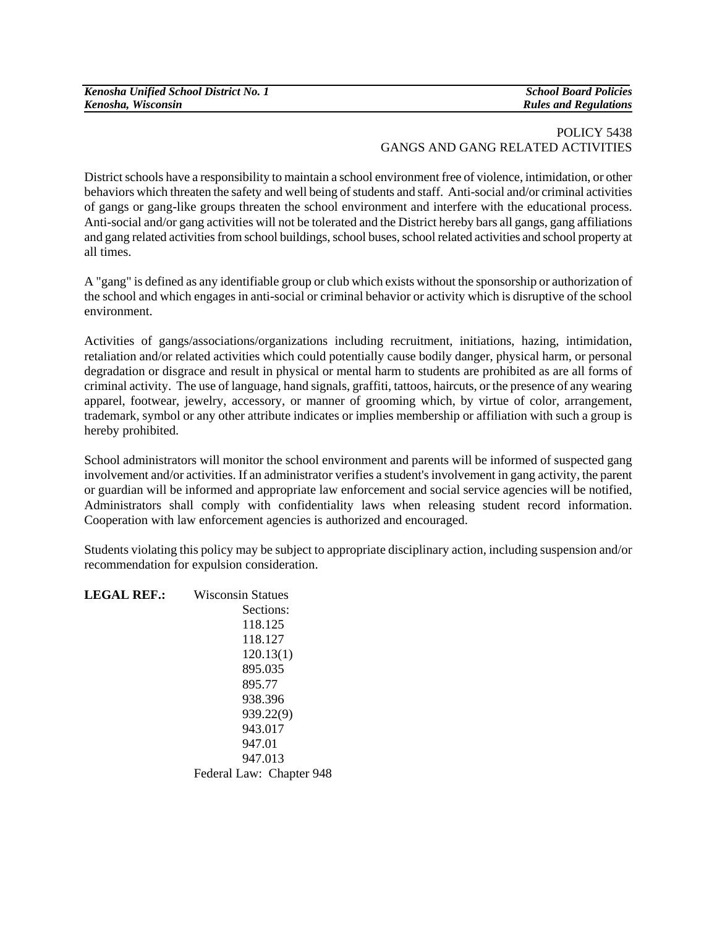| Kenosha Unified School District No. 1 |
|---------------------------------------|
| Kenosha, Wisconsin                    |

*Kenosha Unified School District No. 1 School Board Policies*   $Rules$  and Regulations

## POLICY 5438 GANGS AND GANG RELATED ACTIVITIES

District schools have a responsibility to maintain a school environment free of violence, intimidation, or other behaviors which threaten the safety and well being of students and staff. Anti-social and/or criminal activities of gangs or gang-like groups threaten the school environment and interfere with the educational process. Anti-social and/or gang activities will not be tolerated and the District hereby bars all gangs, gang affiliations and gang related activities from school buildings, school buses, school related activities and school property at all times.

A "gang" is defined as any identifiable group or club which exists without the sponsorship or authorization of the school and which engages in anti-social or criminal behavior or activity which is disruptive of the school environment.

Activities of gangs/associations/organizations including recruitment, initiations, hazing, intimidation, retaliation and/or related activities which could potentially cause bodily danger, physical harm, or personal degradation or disgrace and result in physical or mental harm to students are prohibited as are all forms of criminal activity. The use of language, hand signals, graffiti, tattoos, haircuts, or the presence of any wearing apparel, footwear, jewelry, accessory, or manner of grooming which, by virtue of color, arrangement, trademark, symbol or any other attribute indicates or implies membership or affiliation with such a group is hereby prohibited.

School administrators will monitor the school environment and parents will be informed of suspected gang involvement and/or activities. If an administrator verifies a student's involvement in gang activity, the parent or guardian will be informed and appropriate law enforcement and social service agencies will be notified, Administrators shall comply with confidentiality laws when releasing student record information. Cooperation with law enforcement agencies is authorized and encouraged.

Students violating this policy may be subject to appropriate disciplinary action, including suspension and/or recommendation for expulsion consideration.

| <b>LEGAL REF.:</b> | <b>Wisconsin Statues</b> |
|--------------------|--------------------------|
|                    | Sections:                |
|                    | 118.125                  |
|                    | 118.127                  |
|                    | 120.13(1)                |
|                    | 895.035                  |
|                    | 895.77                   |
|                    | 938.396                  |
|                    | 939.22(9)                |
|                    | 943.017                  |
|                    | 947.01                   |
|                    | 947.013                  |
|                    | Federal Law: Chapter 948 |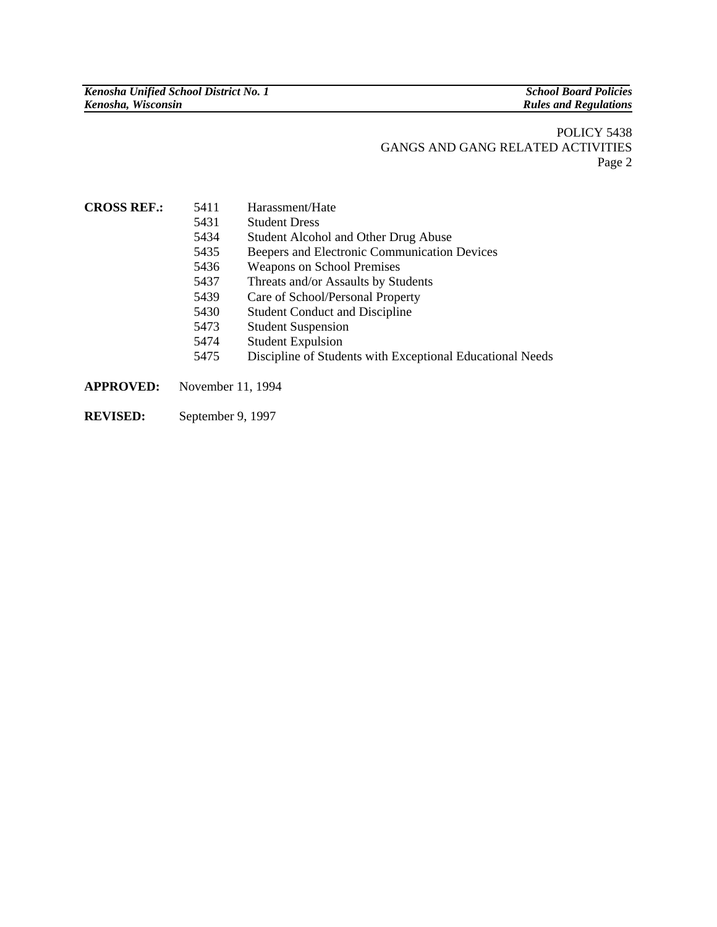## POLICY 5438 GANGS AND GANG RELATED ACTIVITIES Page 2

| <b>CROSS REF.:</b> | 5411 | Harassment/Hate |
|--------------------|------|-----------------|
|--------------------|------|-----------------|

- 5431 Student Dress
- 5434 Student Alcohol and Other Drug Abuse
- 5435 Beepers and Electronic Communication Devices
- 5436 Weapons on School Premises
- 5437 Threats and/or Assaults by Students
- 5439 Care of School/Personal Property
- 5430 Student Conduct and Discipline
- 5473 Student Suspension
- 5474 Student Expulsion
- 5475 Discipline of Students with Exceptional Educational Needs
- **APPROVED:** November 11, 1994
- **REVISED:** September 9, 1997